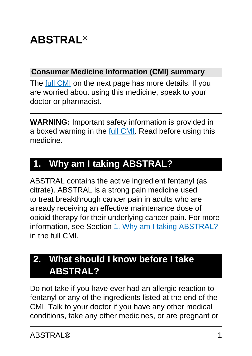# **ABSTRAL®**

#### **Consumer Medicine Information (CMI) summary**

The [full CMI](#page-6-0) on the next page has more details. If you are worried about using this medicine, speak to your doctor or pharmacist.

**WARNING:** Important safety information is provided in a boxed warning in the [full CMI.](#page-6-0) Read before using this medicine.

# **1. Why am I taking ABSTRAL?**

ABSTRAL contains the active ingredient fentanyl (as citrate). ABSTRAL is a strong pain medicine used to treat breakthrough cancer pain in adults who are already receiving an effective maintenance dose of opioid therapy for their underlying cancer pain. For more information, see Section [1. Why am I taking ABSTRAL?](#page-6-1) in the full CMI.

# **2. What should I know before I take ABSTRAL?**

Do not take if you have ever had an allergic reaction to fentanyl or any of the ingredients listed at the end of the CMI. Talk to your doctor if you have any other medical conditions, take any other medicines, or are pregnant or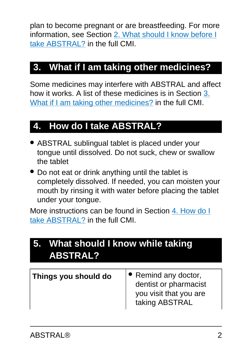plan to become pregnant or are breastfeeding. For more information, see Section [2. What should I know before I](#page-7-0) [take ABSTRAL?](#page-7-0) in the full CMI.

# **3. What if I am taking other medicines?**

Some medicines may interfere with ABSTRAL and affect how it works. A list of these medicines is in Section [3.](#page-10-0) [What if I am taking other medicines?](#page-10-0) in the full CMI.

## **4. How do I take ABSTRAL?**

- ABSTRAL sublingual tablet is placed under your tongue until dissolved. Do not suck, chew or swallow the tablet
- Do not eat or drink anything until the tablet is completely dissolved. If needed, you can moisten your mouth by rinsing it with water before placing the tablet under your tongue.

More instructions can be found in Section [4. How do I](#page-11-0) [take ABSTRAL?](#page-11-0) in the full CMI.

# **5. What should I know while taking ABSTRAL?**

| Things you should do | $\bullet$ Remind any doctor,<br>dentist or pharmacist<br>you visit that you are<br>taking ABSTRAL |
|----------------------|---------------------------------------------------------------------------------------------------|
|----------------------|---------------------------------------------------------------------------------------------------|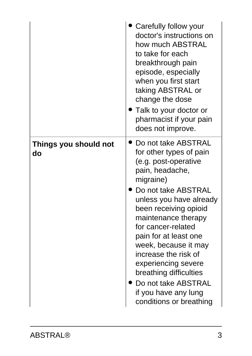|                             | Carefully follow your<br>doctor's instructions on<br>how much ABSTRAL<br>to take for each<br>breakthrough pain<br>episode, especially<br>when you first start<br>taking ABSTRAL or<br>change the dose<br>$\blacktriangleright$ Talk to your doctor or<br>pharmacist if your pain<br>does not improve.                                                                                                                              |
|-----------------------------|------------------------------------------------------------------------------------------------------------------------------------------------------------------------------------------------------------------------------------------------------------------------------------------------------------------------------------------------------------------------------------------------------------------------------------|
| Things you should not<br>do | Do not take ABSTRAL<br>for other types of pain<br>(e.g. post-operative<br>pain, headache,<br>migraine)<br>Do not take ABSTRAL<br>unless you have already<br>been receiving opioid<br>maintenance therapy<br>for cancer-related<br>pain for at least one<br>week, because it may<br>increase the risk of<br>experiencing severe<br>breathing difficulties<br>Do not take ABSTRAL<br>if you have any lung<br>conditions or breathing |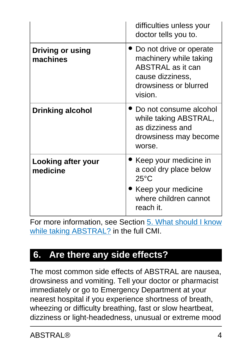|                                     | difficulties unless your<br>doctor tells you to.                                                                                        |
|-------------------------------------|-----------------------------------------------------------------------------------------------------------------------------------------|
| <b>Driving or using</b><br>machines | • Do not drive or operate<br>machinery while taking<br><b>ABSTRAL</b> as it can<br>cause dizziness,<br>drowsiness or blurred<br>vision. |
| <b>Drinking alcohol</b>             | Do not consume alcohol<br>while taking ABSTRAL,<br>as dizziness and<br>drowsiness may become<br>worse.                                  |
| Looking after your<br>medicine      | Keep your medicine in<br>a cool dry place below<br>$25^{\circ}$ C<br>Keep your medicine<br>where children cannot<br>reach it.           |

For more information, see Section [5. What should I know](#page-17-0) [while taking ABSTRAL?](#page-17-0) in the full CMI.

## **6. Are there any side effects?**

The most common side effects of ABSTRAL are nausea, drowsiness and vomiting. Tell your doctor or pharmacist immediately or go to Emergency Department at your nearest hospital if you experience shortness of breath, wheezing or difficulty breathing, fast or slow heartbeat, dizziness or light-headedness, unusual or extreme mood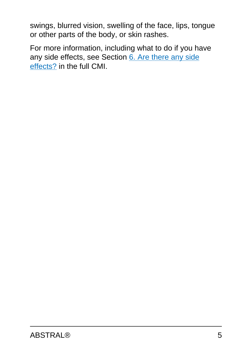swings, blurred vision, swelling of the face, lips, tongue or other parts of the body, or skin rashes.

For more information, including what to do if you have any side effects, see Section [6. Are there any side](#page-20-0) [effects?](#page-20-0) in the full CMI.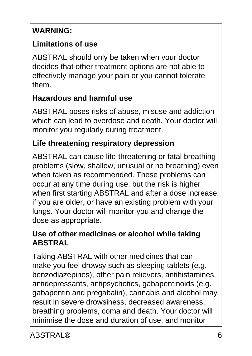## **WARNING:**

### **Limitations of use**

ABSTRAL should only be taken when your doctor decides that other treatment options are not able to effectively manage your pain or you cannot tolerate them.

### **Hazardous and harmful use**

ABSTRAL poses risks of abuse, misuse and addiction which can lead to overdose and death. Your doctor will monitor you regularly during treatment.

#### **Life threatening respiratory depression**

ABSTRAL can cause life-threatening or fatal breathing problems (slow, shallow, unusual or no breathing) even when taken as recommended. These problems can occur at any time during use, but the risk is higher when first starting ABSTRAL and after a dose increase, if you are older, or have an existing problem with your lungs. Your doctor will monitor you and change the dose as appropriate.

#### **Use of other medicines or alcohol while taking ABSTRAL**

Taking ABSTRAL with other medicines that can make you feel drowsy such as sleeping tablets (e.g. benzodiazepines), other pain relievers, antihistamines, antidepressants, antipsychotics, gabapentinoids (e.g. gabapentin and pregabalin), cannabis and alcohol may result in severe drowsiness, decreased awareness, breathing problems, coma and death. Your doctor will minimise the dose and duration of use, and monitor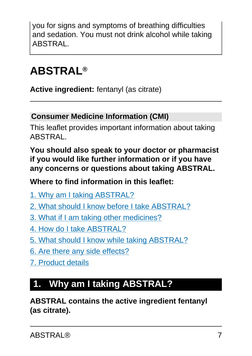you for signs and symptoms of breathing difficulties and sedation. You must not drink alcohol while taking ABSTRAL.

# <span id="page-6-0"></span>**ABSTRAL®**

**Active ingredient:** fentanyl (as citrate)

#### **Consumer Medicine Information (CMI)**

This leaflet provides important information about taking ABSTRAL.

**You should also speak to your doctor or pharmacist if you would like further information or if you have any concerns or questions about taking ABSTRAL.**

**Where to find information in this leaflet:**

- [1. Why am I taking ABSTRAL?](#page-6-1)
- [2. What should I know before I take ABSTRAL?](#page-7-0)
- [3. What if I am taking other medicines?](#page-10-0)
- [4. How do I take ABSTRAL?](#page-11-0)
- [5. What should I know while taking ABSTRAL?](#page-17-0)
- [6. Are there any side effects?](#page-20-0)
- [7. Product details](#page-23-0)

# <span id="page-6-1"></span>**1. Why am I taking ABSTRAL?**

**ABSTRAL contains the active ingredient fentanyl (as citrate).**

ABSTRAL® 7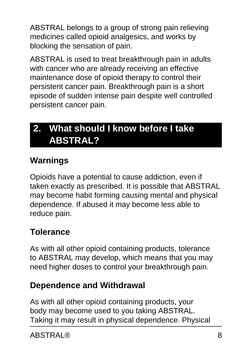ABSTRAL belongs to a group of strong pain relieving medicines called opioid analgesics, and works by blocking the sensation of pain.

ABSTRAL is used to treat breakthrough pain in adults with cancer who are already receiving an effective maintenance dose of opioid therapy to control their persistent cancer pain. Breakthrough pain is a short episode of sudden intense pain despite well controlled persistent cancer pain.

# <span id="page-7-0"></span>**2. What should I know before I take ABSTRAL?**

## **Warnings**

Opioids have a potential to cause addiction, even if taken exactly as prescribed. It is possible that ABSTRAL may become habit forming causing mental and physical dependence. If abused it may become less able to reduce pain.

## **Tolerance**

As with all other opioid containing products, tolerance to ABSTRAL may develop, which means that you may need higher doses to control your breakthrough pain.

## **Dependence and Withdrawal**

As with all other opioid containing products, your body may become used to you taking ABSTRAL. Taking it may result in physical dependence. Physical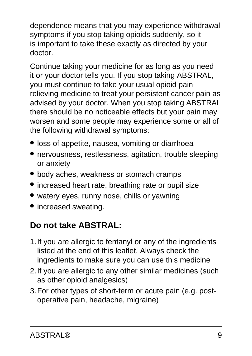dependence means that you may experience withdrawal symptoms if you stop taking opioids suddenly, so it is important to take these exactly as directed by your doctor.

Continue taking your medicine for as long as you need it or your doctor tells you. If you stop taking ABSTRAL, you must continue to take your usual opioid pain relieving medicine to treat your persistent cancer pain as advised by your doctor. When you stop taking ABSTRAL there should be no noticeable effects but your pain may worsen and some people may experience some or all of the following withdrawal symptoms:

- loss of appetite, nausea, vomiting or diarrhoea
- nervousness, restlessness, agitation, trouble sleeping or anxiety
- body aches, weakness or stomach cramps
- increased heart rate, breathing rate or pupil size
- watery eyes, runny nose, chills or yawning
- increased sweating.

## **Do not take ABSTRAL:**

- 1.If you are allergic to fentanyl or any of the ingredients listed at the end of this leaflet. Always check the ingredients to make sure you can use this medicine
- 2.If you are allergic to any other similar medicines (such as other opioid analgesics)
- 3.For other types of short-term or acute pain (e.g. postoperative pain, headache, migraine)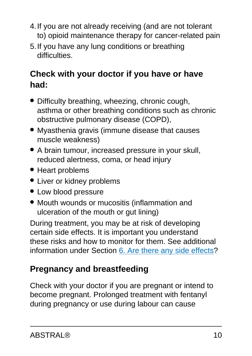- 4.If you are not already receiving (and are not tolerant to) opioid maintenance therapy for cancer-related pain
- 5.If you have any lung conditions or breathing difficulties.

## **Check with your doctor if you have or have had:**

- Difficulty breathing, wheezing, chronic cough, asthma or other breathing conditions such as chronic obstructive pulmonary disease (COPD),
- Myasthenia gravis (immune disease that causes muscle weakness)
- A brain tumour, increased pressure in your skull, reduced alertness, coma, or head injury
- Heart problems
- Liver or kidney problems
- Low blood pressure
- Mouth wounds or mucositis (inflammation and ulceration of the mouth or gut lining)

During treatment, you may be at risk of developing certain side effects. It is important you understand these risks and how to monitor for them. See additional information under Section [6. Are there any side effects](#page-20-0)?

## **Pregnancy and breastfeeding**

Check with your doctor if you are pregnant or intend to become pregnant. Prolonged treatment with fentanyl during pregnancy or use during labour can cause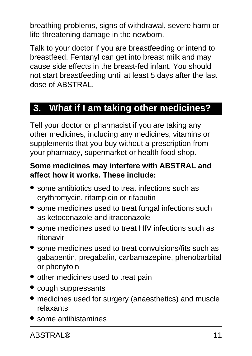breathing problems, signs of withdrawal, severe harm or life-threatening damage in the newborn.

Talk to your doctor if you are breastfeeding or intend to breastfeed. Fentanyl can get into breast milk and may cause side effects in the breast-fed infant. You should not start breastfeeding until at least 5 days after the last dose of ABSTRAL.

## <span id="page-10-0"></span>**3. What if I am taking other medicines?**

Tell your doctor or pharmacist if you are taking any other medicines, including any medicines, vitamins or supplements that you buy without a prescription from your pharmacy, supermarket or health food shop.

#### **Some medicines may interfere with ABSTRAL and affect how it works. These include:**

- some antibiotics used to treat infections such as erythromycin, rifampicin or rifabutin
- some medicines used to treat fungal infections such as ketoconazole and itraconazole
- some medicines used to treat HIV infections such as ritonavir
- some medicines used to treat convulsions/fits such as gabapentin, pregabalin, carbamazepine, phenobarbital or phenytoin
- other medicines used to treat pain
- cough suppressants
- medicines used for surgery (anaesthetics) and muscle relaxants
- some antihistamines

ABSTRAL® 11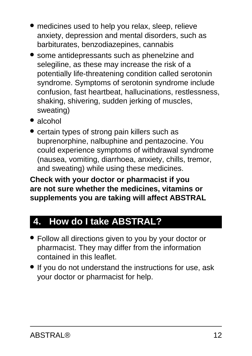- medicines used to help you relax, sleep, relieve anxiety, depression and mental disorders, such as barbiturates, benzodiazepines, cannabis
- some antidepressants such as phenelzine and selegiline, as these may increase the risk of a potentially life-threatening condition called serotonin syndrome. Symptoms of serotonin syndrome include confusion, fast heartbeat, hallucinations, restlessness, shaking, shivering, sudden jerking of muscles, sweating)
- alcohol
- certain types of strong pain killers such as buprenorphine, nalbuphine and pentazocine. You could experience symptoms of withdrawal syndrome (nausea, vomiting, diarrhoea, anxiety, chills, tremor, and sweating) while using these medicines.

**Check with your doctor or pharmacist if you are not sure whether the medicines, vitamins or supplements you are taking will affect ABSTRAL**

# <span id="page-11-0"></span>**4. How do I take ABSTRAL?**

- Follow all directions given to you by your doctor or pharmacist. They may differ from the information contained in this leaflet.
- If you do not understand the instructions for use, ask your doctor or pharmacist for help.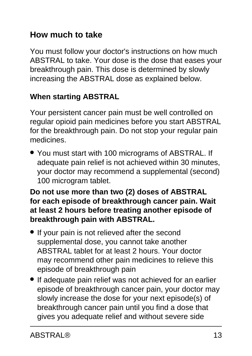## **How much to take**

You must follow your doctor's instructions on how much ABSTRAL to take. Your dose is the dose that eases your breakthrough pain. This dose is determined by slowly increasing the ABSTRAL dose as explained below.

#### **When starting ABSTRAL**

Your persistent cancer pain must be well controlled on regular opioid pain medicines before you start ABSTRAL for the breakthrough pain. Do not stop your regular pain medicines.

• You must start with 100 micrograms of ABSTRAL. If adequate pain relief is not achieved within 30 minutes, your doctor may recommend a supplemental (second) 100 microgram tablet.

#### **Do not use more than two (2) doses of ABSTRAL for each episode of breakthrough cancer pain. Wait at least 2 hours before treating another episode of breakthrough pain with ABSTRAL.**

- If your pain is not relieved after the second supplemental dose, you cannot take another ABSTRAL tablet for at least 2 hours. Your doctor may recommend other pain medicines to relieve this episode of breakthrough pain
- If adequate pain relief was not achieved for an earlier episode of breakthrough cancer pain, your doctor may slowly increase the dose for your next episode(s) of breakthrough cancer pain until you find a dose that gives you adequate relief and without severe side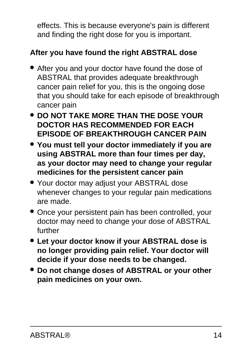effects. This is because everyone's pain is different and finding the right dose for you is important.

### **After you have found the right ABSTRAL dose**

- After you and your doctor have found the dose of ABSTRAL that provides adequate breakthrough cancer pain relief for you, this is the ongoing dose that you should take for each episode of breakthrough cancer pain
- **DO NOT TAKE MORE THAN THE DOSE YOUR DOCTOR HAS RECOMMENDED FOR EACH EPISODE OF BREAKTHROUGH CANCER PAIN**
- **You must tell your doctor immediately if you are using ABSTRAL more than four times per day, as your doctor may need to change your regular medicines for the persistent cancer pain**
- Your doctor may adjust your ABSTRAL dose whenever changes to your regular pain medications are made.
- Once your persistent pain has been controlled, your doctor may need to change your dose of ABSTRAL further
- **Let your doctor know if your ABSTRAL dose is no longer providing pain relief. Your doctor will decide if your dose needs to be changed.**
- **Do not change doses of ABSTRAL or your other pain medicines on your own.**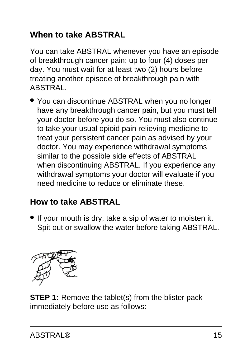## **When to take ABSTRAL**

You can take ABSTRAL whenever you have an episode of breakthrough cancer pain; up to four (4) doses per day. You must wait for at least two (2) hours before treating another episode of breakthrough pain with ABSTRAL.

• You can discontinue ABSTRAL when you no longer have any breakthrough cancer pain, but you must tell your doctor before you do so. You must also continue to take your usual opioid pain relieving medicine to treat your persistent cancer pain as advised by your doctor. You may experience withdrawal symptoms similar to the possible side effects of ABSTRAL when discontinuing ABSTRAL. If you experience any withdrawal symptoms your doctor will evaluate if you need medicine to reduce or eliminate these.

## **How to take ABSTRAL**

• If your mouth is dry, take a sip of water to moisten it. Spit out or swallow the water before taking ABSTRAL.



**STEP 1:** Remove the tablet(s) from the blister pack immediately before use as follows: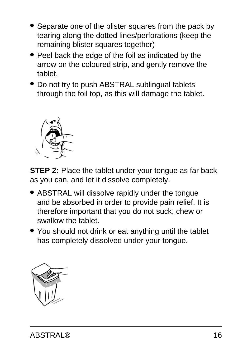- Separate one of the blister squares from the pack by tearing along the dotted lines/perforations (keep the remaining blister squares together)
- Peel back the edge of the foil as indicated by the arrow on the coloured strip, and gently remove the tablet.
- Do not try to push ABSTRAL sublingual tablets through the foil top, as this will damage the tablet.



**STEP 2:** Place the tablet under your tongue as far back as you can, and let it dissolve completely.

- ABSTRAL will dissolve rapidly under the tongue and be absorbed in order to provide pain relief. It is therefore important that you do not suck, chew or swallow the tablet.
- You should not drink or eat anything until the tablet has completely dissolved under your tongue.

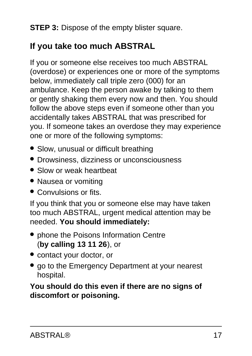**STEP 3:** Dispose of the empty blister square.

## **If you take too much ABSTRAL**

If you or someone else receives too much ABSTRAL (overdose) or experiences one or more of the symptoms below, immediately call triple zero (000) for an ambulance. Keep the person awake by talking to them or gently shaking them every now and then. You should follow the above steps even if someone other than you accidentally takes ABSTRAL that was prescribed for you. If someone takes an overdose they may experience one or more of the following symptoms:

- Slow, unusual or difficult breathing
- Drowsiness, dizziness or unconsciousness
- Slow or weak heartbeat
- Nausea or vomiting
- Convulsions or fits.

If you think that you or someone else may have taken too much ABSTRAL, urgent medical attention may be needed. **You should immediately:**

- phone the Poisons Information Centre (**by calling 13 11 26**), or
- contact your doctor, or
- go to the Emergency Department at your nearest hospital.

**You should do this even if there are no signs of discomfort or poisoning.**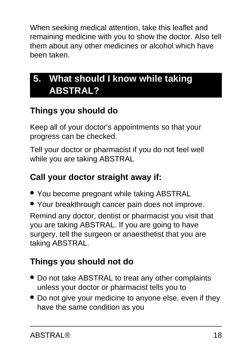When seeking medical attention, take this leaflet and remaining medicine with you to show the doctor. Also tell them about any other medicines or alcohol which have been taken.

# <span id="page-17-0"></span>**5. What should I know while taking ABSTRAL?**

## **Things you should do**

Keep all of your doctor's appointments so that your progress can be checked.

Tell your doctor or pharmacist if you do not feel well while you are taking ABSTRAL

## **Call your doctor straight away if:**

- You become pregnant while taking ABSTRAL
- Your breakthrough cancer pain does not improve.

Remind any doctor, dentist or pharmacist you visit that you are taking ABSTRAL. If you are going to have surgery, tell the surgeon or anaesthetist that you are taking ABSTRAL.

## **Things you should not do**

- Do not take ABSTRAL to treat any other complaints unless your doctor or pharmacist tells you to
- Do not give your medicine to anyone else, even if they have the same condition as you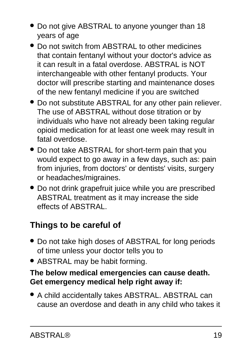- Do not give ABSTRAL to anyone younger than 18 years of age
- Do not switch from ABSTRAL to other medicines that contain fentanyl without your doctor's advice as it can result in a fatal overdose. ABSTRAL is NOT interchangeable with other fentanyl products. Your doctor will prescribe starting and maintenance doses of the new fentanyl medicine if you are switched
- Do not substitute ABSTRAL for any other pain reliever. The use of ABSTRAL without dose titration or by individuals who have not already been taking regular opioid medication for at least one week may result in fatal overdose.
- Do not take ABSTRAL for short-term pain that you would expect to go away in a few days, such as: pain from injuries, from doctors' or dentists' visits, surgery or headaches/migraines.
- Do not drink grapefruit juice while you are prescribed ABSTRAL treatment as it may increase the side effects of ABSTRAL.

## **Things to be careful of**

- Do not take high doses of ABSTRAL for long periods of time unless your doctor tells you to
- ABSTRAL may be habit forming.

#### **The below medical emergencies can cause death. Get emergency medical help right away if:**

• A child accidentally takes ABSTRAL. ABSTRAL can cause an overdose and death in any child who takes it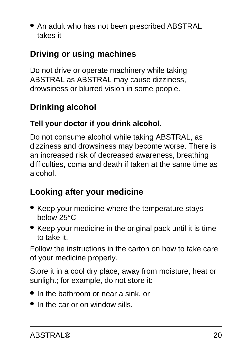• An adult who has not been prescribed ABSTRAL takes it

## **Driving or using machines**

Do not drive or operate machinery while taking ABSTRAL as ABSTRAL may cause dizziness, drowsiness or blurred vision in some people.

## **Drinking alcohol**

#### **Tell your doctor if you drink alcohol.**

Do not consume alcohol while taking ABSTRAL, as dizziness and drowsiness may become worse. There is an increased risk of decreased awareness, breathing difficulties, coma and death if taken at the same time as alcohol.

## **Looking after your medicine**

- Keep your medicine where the temperature stays below 25°C
- Keep your medicine in the original pack until it is time to take it.

Follow the instructions in the carton on how to take care of your medicine properly.

Store it in a cool dry place, away from moisture, heat or sunlight; for example, do not store it:

- In the bathroom or near a sink, or
- In the car or on window sills.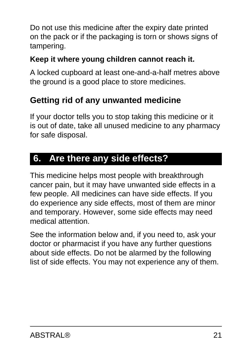Do not use this medicine after the expiry date printed on the pack or if the packaging is torn or shows signs of tampering.

#### **Keep it where young children cannot reach it.**

A locked cupboard at least one-and-a-half metres above the ground is a good place to store medicines.

### **Getting rid of any unwanted medicine**

If your doctor tells you to stop taking this medicine or it is out of date, take all unused medicine to any pharmacy for safe disposal.

## <span id="page-20-0"></span>**6. Are there any side effects?**

This medicine helps most people with breakthrough cancer pain, but it may have unwanted side effects in a few people. All medicines can have side effects. If you do experience any side effects, most of them are minor and temporary. However, some side effects may need medical attention.

See the information below and, if you need to, ask your doctor or pharmacist if you have any further questions about side effects. Do not be alarmed by the following list of side effects. You may not experience any of them.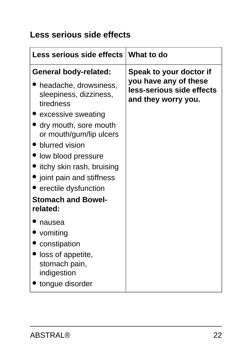## **Less serious side effects**

| <b>Less serious side effects</b>                               | What to do                                                                |
|----------------------------------------------------------------|---------------------------------------------------------------------------|
| <b>General body-related:</b>                                   | Speak to your doctor if                                                   |
| • headache, drowsiness,<br>sleepiness, dizziness,<br>tiredness | you have any of these<br>less-serious side effects<br>and they worry you. |
| excessive sweating                                             |                                                                           |
| dry mouth, sore mouth<br>or mouth/gum/lip ulcers               |                                                                           |
| • blurred vision                                               |                                                                           |
| low blood pressure                                             |                                                                           |
| itchy skin rash, bruising                                      |                                                                           |
| • joint pain and stiffness                                     |                                                                           |
| $\bullet$ erectile dysfunction                                 |                                                                           |
| <b>Stomach and Bowel-</b><br>related:                          |                                                                           |
| nausea                                                         |                                                                           |
| vomiting                                                       |                                                                           |
| constipation                                                   |                                                                           |
| loss of appetite,<br>stomach pain,<br>indigestion              |                                                                           |
| tongue disorder                                                |                                                                           |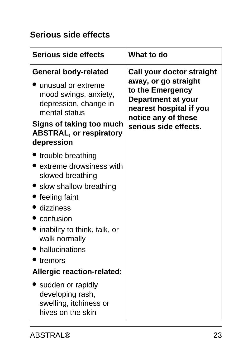## **Serious side effects**

| <b>Serious side effects</b>                                                                                                                                                                                                                                                                                                                          | <b>What to do</b>                                                                                                                                                      |
|------------------------------------------------------------------------------------------------------------------------------------------------------------------------------------------------------------------------------------------------------------------------------------------------------------------------------------------------------|------------------------------------------------------------------------------------------------------------------------------------------------------------------------|
| <b>General body-related</b>                                                                                                                                                                                                                                                                                                                          | Call your doctor straight<br>away, or go straight<br>to the Emergency<br>Department at your<br>nearest hospital if you<br>notice any of these<br>serious side effects. |
| unusual or extreme<br>mood swings, anxiety,<br>depression, change in<br>mental status                                                                                                                                                                                                                                                                |                                                                                                                                                                        |
| Signs of taking too much<br><b>ABSTRAL, or respiratory</b><br>depression                                                                                                                                                                                                                                                                             |                                                                                                                                                                        |
| • trouble breathing<br>extreme drowsiness with<br>slowed breathing<br>• slow shallow breathing<br>feeling faint<br>dizziness<br>confusion<br>inability to think, talk, or<br>walk normally<br>hallucinations<br>tremors<br><b>Allergic reaction-related:</b><br>sudden or rapidly<br>developing rash,<br>swelling, itchiness or<br>hives on the skin |                                                                                                                                                                        |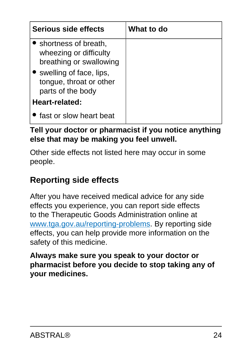| Serious side effects                                                        | What to do |
|-----------------------------------------------------------------------------|------------|
| • shortness of breath,<br>wheezing or difficulty<br>breathing or swallowing |            |
| • swelling of face, lips,<br>tongue, throat or other<br>parts of the body   |            |
| Heart-related:                                                              |            |
| fast or slow heart beat                                                     |            |

#### **Tell your doctor or pharmacist if you notice anything else that may be making you feel unwell.**

Other side effects not listed here may occur in some people.

## **Reporting side effects**

After you have received medical advice for any side effects you experience, you can report side effects to the Therapeutic Goods Administration online at [www.tga.gov.au/reporting-problems.](http://www.tga.gov.au/reporting-problems) By reporting side effects, you can help provide more information on the safety of this medicine.

<span id="page-23-0"></span>**Always make sure you speak to your doctor or pharmacist before you decide to stop taking any of your medicines.**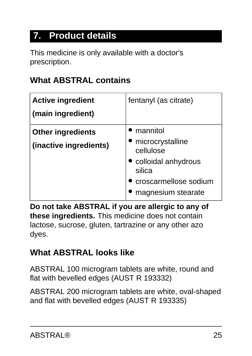# **7. Product details**

This medicine is only available with a doctor's prescription.

### **What ABSTRAL contains**

| <b>Active ingredient</b><br>(main ingredient)      | fentanyl (as citrate)                                                                                                       |
|----------------------------------------------------|-----------------------------------------------------------------------------------------------------------------------------|
| <b>Other ingredients</b><br>(inactive ingredients) | mannitol<br>microcrystalline<br>cellulose<br>• colloidal anhydrous<br>silica<br>croscarmellose sodium<br>magnesium stearate |

**Do not take ABSTRAL if you are allergic to any of these ingredients.** This medicine does not contain lactose, sucrose, gluten, tartrazine or any other azo dyes.

### **What ABSTRAL looks like**

ABSTRAL 100 microgram tablets are white, round and flat with bevelled edges (AUST R 193332)

ABSTRAL 200 microgram tablets are white, oval-shaped and flat with bevelled edges (AUST R 193335)